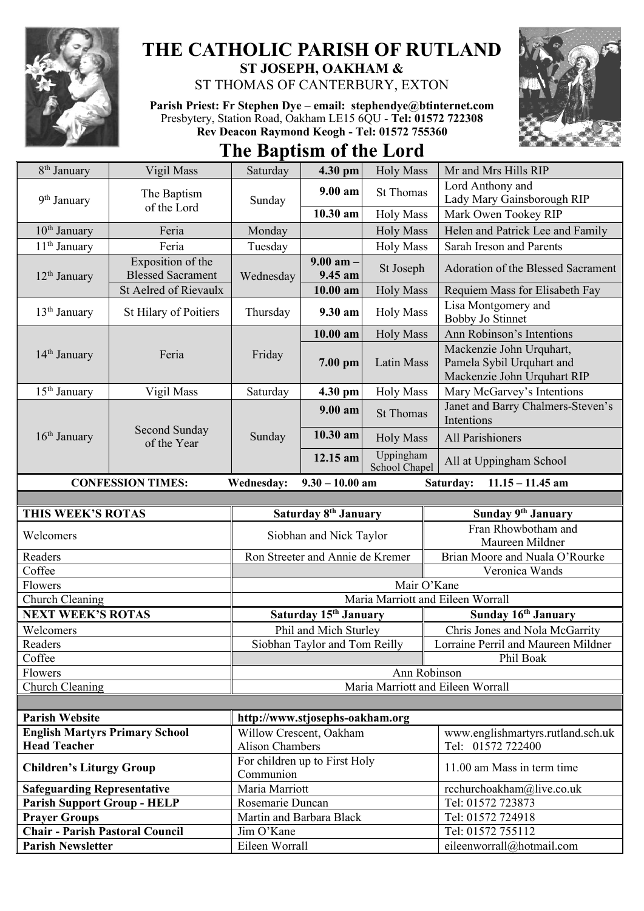

## **THE CATHOLIC PARISH OF RUTLAND ST JOSEPH, OAKHAM &**  ST THOMAS OF CANTERBURY, EXTON

**Parish Priest: Fr Stephen Dye** – **[email: stephendye@btinternet.com](mailto:email:%20%20stephendye@btinternet.com)** Presbytery, Station Road, Oakham LE15 6QU - **Tel: 01572 722308 Rev Deacon Raymond Keogh - Tel: 01572 755360**



**The Baptism of the Lord**

| 8 <sup>th</sup> January                                                                               | Vigil Mass                                    | Saturday                                                             | 4.30 pm                           | <b>Holy Mass</b>           | Mr and Mrs Hills RIP                                                                 |  |
|-------------------------------------------------------------------------------------------------------|-----------------------------------------------|----------------------------------------------------------------------|-----------------------------------|----------------------------|--------------------------------------------------------------------------------------|--|
| 9 <sup>th</sup> January                                                                               | The Baptism<br>of the Lord                    | Sunday                                                               | $9.00 a$ m                        | <b>St Thomas</b>           | Lord Anthony and                                                                     |  |
|                                                                                                       |                                               |                                                                      |                                   |                            | Lady Mary Gainsborough RIP                                                           |  |
|                                                                                                       |                                               |                                                                      | 10.30 am                          | <b>Holy Mass</b>           | Mark Owen Tookey RIP                                                                 |  |
| 10 <sup>th</sup> January                                                                              | Feria                                         | Monday                                                               |                                   | <b>Holy Mass</b>           | Helen and Patrick Lee and Family                                                     |  |
| 11 <sup>th</sup> January                                                                              | Feria                                         | Tuesday                                                              |                                   | <b>Holy Mass</b>           | Sarah Ireson and Parents                                                             |  |
| $12th$ January                                                                                        | Exposition of the<br><b>Blessed Sacrament</b> | Wednesday                                                            | $9.00$ am $-$<br>9.45 am          | St Joseph                  | Adoration of the Blessed Sacrament                                                   |  |
|                                                                                                       | <b>St Aelred of Rievaulx</b>                  |                                                                      | 10.00 am                          | <b>Holy Mass</b>           | Requiem Mass for Elisabeth Fay                                                       |  |
| 13 <sup>th</sup> January                                                                              | St Hilary of Poitiers                         | Thursday                                                             | 9.30 am                           | <b>Holy Mass</b>           | Lisa Montgomery and<br><b>Bobby Jo Stinnet</b>                                       |  |
|                                                                                                       | Feria                                         | Friday                                                               | $10.00$ am                        | <b>Holy Mass</b>           | Ann Robinson's Intentions                                                            |  |
| $14th$ January                                                                                        |                                               |                                                                      | 7.00 pm                           | Latin Mass                 | Mackenzie John Urquhart,<br>Pamela Sybil Urquhart and<br>Mackenzie John Urquhart RIP |  |
| 15 <sup>th</sup> January                                                                              | Vigil Mass                                    | Saturday                                                             | 4.30 pm                           | <b>Holy Mass</b>           | Mary McGarvey's Intentions                                                           |  |
| $16th$ January                                                                                        | Second Sunday<br>of the Year                  | Sunday                                                               | $9.00 a$ m                        | <b>St Thomas</b>           | Janet and Barry Chalmers-Steven's<br>Intentions                                      |  |
|                                                                                                       |                                               |                                                                      | 10.30 am                          | <b>Holy Mass</b>           | All Parishioners                                                                     |  |
|                                                                                                       |                                               |                                                                      | 12.15 am                          | Uppingham<br>School Chapel | All at Uppingham School                                                              |  |
| $9.30 - 10.00$ am<br><b>CONFESSION TIMES:</b><br><b>Wednesday:</b><br>Saturday:<br>$11.15 - 11.45$ am |                                               |                                                                      |                                   |                            |                                                                                      |  |
|                                                                                                       |                                               |                                                                      |                                   |                            |                                                                                      |  |
|                                                                                                       |                                               |                                                                      |                                   |                            |                                                                                      |  |
| THIS WEEK'S ROTAS                                                                                     |                                               |                                                                      | Saturday 8 <sup>th</sup> January  |                            | Sunday 9th January                                                                   |  |
| Welcomers                                                                                             |                                               |                                                                      | Siobhan and Nick Taylor           |                            | Fran Rhowbotham and<br>Maureen Mildner                                               |  |
| Readers                                                                                               |                                               |                                                                      | Ron Streeter and Annie de Kremer  |                            | Brian Moore and Nuala O'Rourke                                                       |  |
| Coffee                                                                                                |                                               |                                                                      |                                   |                            | Veronica Wands                                                                       |  |
| Flowers                                                                                               |                                               |                                                                      |                                   | Mair O'Kane                |                                                                                      |  |
| Church Cleaning                                                                                       |                                               |                                                                      |                                   |                            | Maria Marriott and Eileen Worrall                                                    |  |
| <b>NEXT WEEK'S ROTAS</b>                                                                              |                                               |                                                                      | Saturday 15 <sup>th</sup> January |                            | Sunday 16th January                                                                  |  |
| Welcomers                                                                                             |                                               |                                                                      | Phil and Mich Sturley             |                            | Chris Jones and Nola McGarrity                                                       |  |
| Readers                                                                                               |                                               |                                                                      | Siobhan Taylor and Tom Reilly     |                            | Lorraine Perril and Maureen Mildner                                                  |  |
| Coffee                                                                                                |                                               |                                                                      |                                   |                            | Phil Boak                                                                            |  |
| Flowers                                                                                               |                                               |                                                                      |                                   | Ann Robinson               |                                                                                      |  |
| Church Cleaning                                                                                       |                                               |                                                                      |                                   |                            | Maria Marriott and Eileen Worrall                                                    |  |
|                                                                                                       |                                               |                                                                      |                                   |                            |                                                                                      |  |
| <b>Parish Website</b>                                                                                 |                                               | http://www.stjosephs-oakham.org                                      |                                   |                            |                                                                                      |  |
| <b>English Martyrs Primary School</b><br><b>Head Teacher</b>                                          |                                               | Willow Crescent, Oakham                                              |                                   |                            | www.englishmartyrs.rutland.sch.uk                                                    |  |
| <b>Children's Liturgy Group</b>                                                                       |                                               | <b>Alison Chambers</b><br>For children up to First Holy<br>Communion |                                   |                            | Tel: 01572 722400<br>11.00 am Mass in term time                                      |  |
| <b>Safeguarding Representative</b>                                                                    |                                               | Maria Marriott                                                       |                                   |                            | rcchurchoakham@live.co.uk                                                            |  |
| <b>Parish Support Group - HELP</b>                                                                    |                                               | Rosemarie Duncan                                                     |                                   |                            | Tel: 01572 723873                                                                    |  |
| <b>Prayer Groups</b>                                                                                  |                                               | Martin and Barbara Black                                             |                                   |                            | Tel: 01572 724918                                                                    |  |
| <b>Chair - Parish Pastoral Council</b>                                                                |                                               | Jim O'Kane                                                           |                                   |                            | Tel: 01572 755112                                                                    |  |